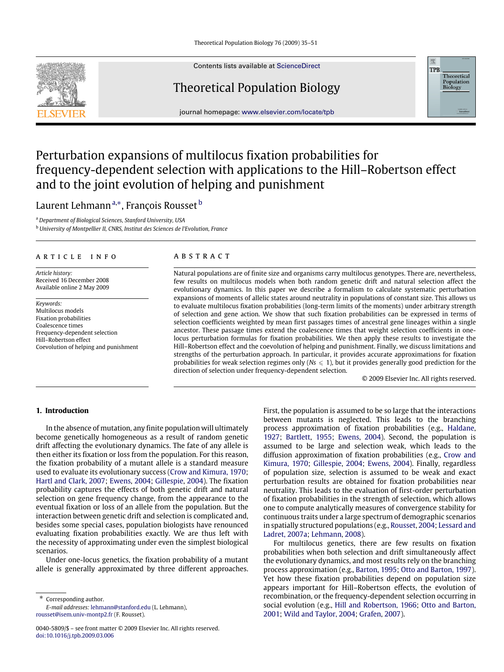Contents lists available at [ScienceDirect](http://www.elsevier.com/locate/tpb)

# Theoretical Population Biology

journal homepage: [www.elsevier.com/locate/tpb](http://www.elsevier.com/locate/tpb)

# Perturbation expansions of multilocus fixation probabilities for frequency-dependent selection with applications to the Hill–Robertson effect and to the joint evolution of helping and punishment

# Laurent Lehmann<sup>a,</sup>\*, François Rousset <sup>b</sup>

<sup>a</sup> *Department of Biological Sciences, Stanford University, USA*

<sup>b</sup> *University of Montpellier II, CNRS, Institut des Sciences de l'Evolution, France*

### A R T I C L E I N F O

*Article history:* Received 16 December 2008 Available online 2 May 2009

*Keywords:* Multilocus models Fixation probabilities Coalescence times Frequency-dependent selection Hill–Robertson effect Coevolution of helping and punishment

# a b s t r a c t

Natural populations are of finite size and organisms carry multilocus genotypes. There are, nevertheless, few results on multilocus models when both random genetic drift and natural selection affect the evolutionary dynamics. In this paper we describe a formalism to calculate systematic perturbation expansions of moments of allelic states around neutrality in populations of constant size. This allows us to evaluate multilocus fixation probabilities (long-term limits of the moments) under arbitrary strength of selection and gene action. We show that such fixation probabilities can be expressed in terms of selection coefficients weighted by mean first passages times of ancestral gene lineages within a single ancestor. These passage times extend the coalescence times that weight selection coefficients in onelocus perturbation formulas for fixation probabilities. We then apply these results to investigate the Hill–Robertson effect and the coevolution of helping and punishment. Finally, we discuss limitations and strengths of the perturbation approach. In particular, it provides accurate approximations for fixation probabilities for weak selection regimes only ( $Ns \leq 1$ ), but it provides generally good prediction for the direction of selection under frequency-dependent selection.

© 2009 Elsevier Inc. All rights reserved.

震 **TPR** 

> Theoretical **Population**<br>**Biology**

## **1. Introduction**

In the absence of mutation, any finite population will ultimately become genetically homogeneous as a result of random genetic drift affecting the evolutionary dynamics. The fate of any allele is then either its fixation or loss from the population. For this reason, the fixation probability of a mutant allele is a standard measure used to evaluate its evolutionary success (Crow and Kimura, 1970; Hartl and Clark, 2007; Ewens, 2004; Gillespie, 2004). The fixation probability captures the effects of both genetic drift and natural selection on gene frequency change, from the appearance to the eventual fixation or loss of an allele from the population. But the interaction between genetic drift and selection is complicated and, besides some special cases, population biologists have renounced evaluating fixation probabilities exactly. We are thus left with the necessity of approximating under even the simplest biological scenarios.

Under one-locus genetics, the fixation probability of a mutant allele is generally approximated by three different approaches.

∗ Corresponding author. *E-mail addresses:* [lehmann@stanford.edu](mailto:lehmann@stanford.edu) (L. Lehmann), [rousset@isem.univ-montp2.fr](mailto:rousset@isem.univ-montp2.fr) (F. Rousset).

First, the population is assumed to be so large that the interactions between mutants is neglected. This leads to the branching process approximation of fixation probabilities (e.g., Haldane, 1927; Bartlett, 1955; Ewens, 2004). Second, the population is assumed to be large and selection weak, which leads to the diffusion approximation of fixation probabilities (e.g., Crow and Kimura, 1970; Gillespie, 2004; Ewens, 2004). Finally, regardless of population size, selection is assumed to be weak and exact perturbation results are obtained for fixation probabilities near neutrality. This leads to the evaluation of first-order perturbation of fixation probabilities in the strength of selection, which allows one to compute analytically measures of convergence stability for continuous traits under a large spectrum of demographic scenarios in spatially structured populations (e.g., Rousset, 2004; Lessard and Ladret, 2007a; Lehmann, 2008).

For multilocus genetics, there are few results on fixation probabilities when both selection and drift simultaneously affect the evolutionary dynamics, and most results rely on the branching process approximation (e.g., Barton, 1995; Otto and Barton, 1997). Yet how these fixation probabilities depend on population size appears important for Hill–Robertson effects, the evolution of recombination, or the frequency-dependent selection occurring in social evolution (e.g., Hill and Robertson, 1966; Otto and Barton, 2001; Wild and Taylor, 2004; Grafen, 2007).



<sup>0040-5809/\$ –</sup> see front matter © 2009 Elsevier Inc. All rights reserved. [doi:10.1016/j.tpb.2009.03.006](http://dx.doi.org/10.1016/j.tpb.2009.03.006)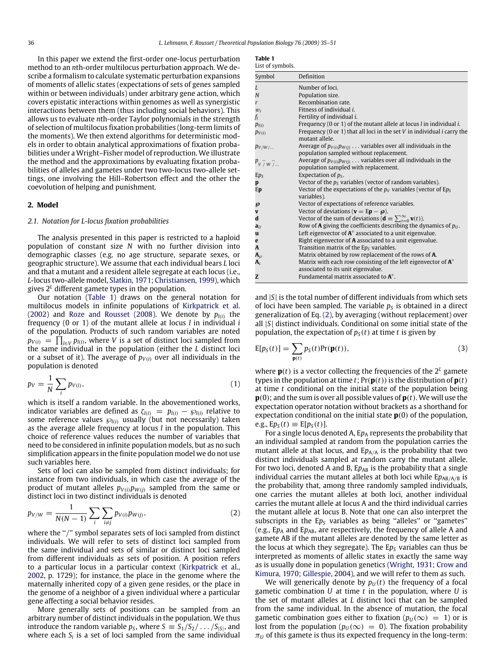In this paper we extend the first-order one-locus perturbation method to an *n*th-order multilocus perturbation approach. We describe a formalism to calculate systematic perturbation expansions of moments of allelic states (expectations of sets of genes sampled within or between individuals) under arbitrary gene action, which covers epistatic interactions within genomes as well as synergistic interactions between them (thus including social behaviors). This allows us to evaluate *n*th-order Taylor polynomials in the strength of selection of multilocus fixation probabilities (long-term limits of the moments). We then extend algorithms for deterministic models in order to obtain analytical approximations of fixation probabilities under a Wright–Fisher model of reproduction. We illustrate the method and the approximations by evaluating fixation probabilities of alleles and gametes under two two-locus two-allele settings, one involving the Hill–Robertson effect and the other the coevolution of helping and punishment.

#### **2. Model**

#### *2.1. Notation for L-locus fixation probabilities*

The analysis presented in this paper is restricted to a haploid population of constant size *N* with no further division into demographic classes (e.g. no age structure, separate sexes, or geographic structure). We assume that each individual bears *L* loci and that a mutant and a resident allele segregate at each locus (i.e., *L*-locus two-allele model, Slatkin, 1971; Christiansen, 1999), which gives  $2^L$  different gamete types in the population.

Our notation (Table 1) draws on the general notation for multilocus models in infinite populations of Kirkpatrick et al. (2002) and Roze and Rousset (2008). We denote by  $p_{l(i)}$  the frequency (0 or 1) of the mutant allele at locus *l* in individual *i* of the population. Products of such random variables are noted  $p_{V(i)} = \prod_{l \in V} p_{l(i)}$ , where *V* is a set of distinct loci sampled from the same individual in the population (either the *L* distinct loci or a subset of it). The average of  $p_{V(i)}$  over all individuals in the population is denoted

$$
p_V = \frac{1}{N} \sum_i p_{V(i)},\tag{1}
$$

which is itself a random variable. In the abovementioned works, indicator variables are defined as  $\zeta_{l(i)} = p_{l(i)} - \wp_{l(i)}$  relative to some reference values ℘*l*(*i*) usually (but not necessarily) taken as the average allele frequency at locus *l* in the population. This choice of reference values reduces the number of variables that need to be considered in infinite population models, but as no such simplification appears in the finite population model we do not use such variables here.

Sets of loci can also be sampled from distinct individuals; for instance from two individuals, in which case the average of the product of mutant alleles  $p_{V(i)}p_{W(j)}$  sampled from the same or distinct loci in two distinct individuals is denoted

$$
p_{V/W} = \frac{1}{N(N-1)} \sum_{i} \sum_{i \neq j} p_{V(i)} p_{W(j)},
$$
 (2)

where the "/" symbol separates sets of loci sampled from distinct individuals. We will refer to sets of distinct loci sampled from the same individual and sets of similar or distinct loci sampled from different individuals as sets of position. A position refers to a particular locus in a particular context (Kirkpatrick et al., 2002, p. 1729); for instance, the place in the genome where the maternally inherited copy of a given gene resides, or the place in the genome of a neighbor of a given individual where a particular gene affecting a social behavior resides.

More generally sets of positions can be sampled from an arbitrary number of distinct individuals in the population. We thus introduce the random variable  $p_S$ , where  $S \equiv S_1/S_2/\dots/S_{|S|}$ , and where each  $S_i$  is a set of loci sampled from the same individual

| Table |  |
|-------|--|
|       |  |

| List of symbols.                |                                                                                                                       |
|---------------------------------|-----------------------------------------------------------------------------------------------------------------------|
| Symbol                          | Definition                                                                                                            |
| L                               | Number of loci.                                                                                                       |
| N                               | Population size.                                                                                                      |
| r                               | Recombination rate.                                                                                                   |
| $w_i$                           | Fitness of individual <i>i</i> .                                                                                      |
| $f_i$                           | Fertility of individual <i>i</i> .                                                                                    |
| $p_{l(i)}$                      | Frequency (0 or 1) of the mutant allele at locus $l$ in individual $i$ .                                              |
| $p_{V(i)}$                      | Frequency (0 or 1) that all loci in the set $V$ in individual $i$ carry the<br>mutant allele.                         |
| $p_{V/W/\dots}$                 | Average of $p_{V(i)}p_{W(j)} \ldots$ variables over all individuals in the<br>population sampled without replacement. |
| $P_{V}$ $\hat{V}$ $w$ $\hat{V}$ | Average of $p_{V(i)}p_{W(j)} \ldots$ variables over all individuals in the<br>population sampled with replacement.    |
| $Ep_S$                          | Expectation of $p_s$ .                                                                                                |
| p                               | Vector of the $p_s$ variables (vector of random variables).                                                           |
| Ep                              | Vector of the expectations of the $p_V$ variables (vector of E $p_S$<br>variables).                                   |
| နာ                              | Vector of expectations of reference variables.                                                                        |
| $\overline{\mathbf{v}}$         | Vector of deviations ( $\mathbf{v} = \mathbf{E} \mathbf{p} - \boldsymbol{\varphi}$ ).                                 |
| d                               | Vector of the sum of deviations ( $\mathbf{d} \equiv \sum_{t=0}^{\infty} \mathbf{v}(t)$ ).                            |
| $a_{IJ}$                        | Row of <b>A</b> giving the coefficients describing the dynamics of $p_{U}$ .                                          |
| u                               | Left eigenvector of $A^{\circ}$ associated to a unit eigenvalue.                                                      |
| e                               | Right eigenvector of <b>A</b> associated to a unit eigenvalue.                                                        |
| A                               | Transition matrix of the $EpS$ variables.                                                                             |
| $\mathbf{A}_{\varnothing}$      | Matrix obtained by row replacement of the rows of A.                                                                  |
| $\mathbf{A}_c$                  | Matrix with each row consisting of the left eigenvector of $A^{\circ}$                                                |
|                                 | associated to its unit eigenvalue.                                                                                    |
| z                               | Fundamental matrix associated to $A^\circ$ .                                                                          |

and |*S*| is the total number of different individuals from which sets of loci have been sampled. The variable  $p<sub>S</sub>$  is obtained in a direct generalization of Eq. (2), by averaging (without replacement) over all |*S*| distinct individuals. Conditional on some initial state of the population, the expectation of  $p<sub>S</sub>(t)$  at time *t* is given by

$$
E[p_S(t)] = \sum_{\mathbf{p}(t)} p_S(t) Pr(\mathbf{p}(t)),
$$
\n(3)

where  $\mathbf{p}(t)$  is a vector collecting the frequencies of the  $2^L$  gamete types in the population at time *t*;  $Pr(\mathbf{p}(t))$  is the distribution of  $\mathbf{p}(t)$ at time *t* conditional on the initial state of the population being **p**(0); and the sum is over all possible values of **p**(*t*). We will use the expectation operator notation without brackets as a shorthand for expectation conditional on the initial state **p**(0) of the population,  $e.g., E p_S(t) \equiv E[p_S(t)].$ 

For a single locus denoted A,  $Ep_A$  represents the probability that an individual sampled at random from the population carries the mutant allele at that locus, and  $Ep_{A/A}$  is the probability that two distinct individuals sampled at random carry the mutant allele. For two loci, denoted A and B,  $Ep_{AB}$  is the probability that a single individual carries the mutant alleles at both loci while Ep<sub>AB/A/B</sub> is the probability that, among three randomly sampled individuals, one carries the mutant alleles at both loci, another individual carries the mutant allele at locus A and the third individual carries the mutant allele at locus B. Note that one can also interpret the subscripts in the Ep<sub>S</sub> variables as being "alleles" or "gametes" (e.g.,  $Ep_A$  and  $Ep_{AB}$ , are respectively, the frequency of allele A and gamete AB if the mutant alleles are denoted by the same letter as the locus at which they segregate). The E*p<sup>S</sup>* variables can thus be interpreted as moments of allelic states in exactly the same way as is usually done in population genetics (Wright, 1931; Crow and Kimura, 1970; Gillespie, 2004), and we will refer to them as such.

We will generically denote by  $p_U(t)$  the frequency of a focal gametic combination *U* at time *t* in the population, where *U* is the set of mutant alleles at *L* distinct loci that can be sampled from the same individual. In the absence of mutation, the focal gametic combination goes either to fixation ( $p_U(\infty) = 1$ ) or is lost from the population ( $p_U(\infty) = 0$ ). The fixation probability  $\pi_U$  of this gamete is thus its expected frequency in the long-term: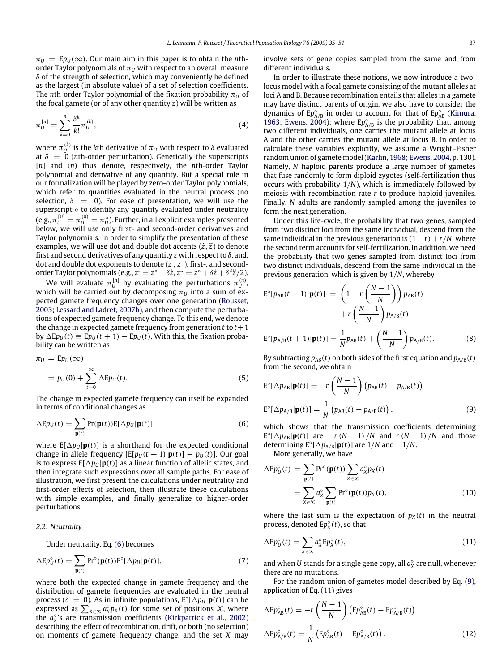$\pi_U = E p_U(\infty)$ . Our main aim in this paper is to obtain the *n*thorder Taylor polynomials of  $\pi_U$  with respect to an overall measure  $\delta$  of the strength of selection, which may conveniently be defined as the largest (in absolute value) of a set of selection coefficients. The *n*th-order Taylor polynomial of the fixation probability  $\pi$ <sup>*U*</sup> of the focal gamete (or of any other quantity *z*) will be written as

$$
\pi_U^{[n]} = \sum_{k=0}^n \frac{\delta^k}{k!} \pi_U^{(k)},\tag{4}
$$

where  $\pi_U^{(k)}$  is the *k*th derivative of  $\pi_U$  with respect to  $\delta$  evaluated at  $\delta = 0$  (*n*th-order perturbation). Generically the superscripts [*n*] and (*n*) thus denote, respectively, the *n*th-order Taylor polynomial and derivative of any quantity. But a special role in our formalization will be played by zero-order Taylor polynomials, which refer to quantities evaluated in the neutral process (no selection,  $\delta = 0$ ). For ease of presentation, we will use the superscript ∘ to identify any quantity evaluated under neutrality (e.g.,  $\pi^{[0]}_{U}=\pi^{(0)}_{U}=\pi^{_\circ}_U$ ). Further, in all explicit examples presented below, we will use only first- and second-order derivatives and Taylor polynomials. In order to simplify the presentation of these examples, we will use dot and double dot accents  $(\dot{z}, \ddot{z})$  to denote first and second derivatives of any quantity *z* with respect to  $\delta$ , and, dot and double dot exponents to denote (*z*<sup>.</sup>, *z*<sup>.</sup>), first-, and secondorder Taylor polynomials (e.g.,  $z = z^{\circ} + \delta \dot{z}$ ,  $z = z^{\circ} + \delta \dot{z} + \delta \dot{z} + \delta^2 \ddot{z}/2$ ).

We will evaluate  $\pi_U^{[n]}$  by evaluating the perturbations  $\pi_U^{(n)}$ , which will be carried out by decomposing  $\pi_U$  into a sum of expected gamete frequency changes over one generation (Rousset, 2003; Lessard and Ladret, 2007b), and then compute the perturbations of expected gamete frequency change. To this end, we denote the change in expected gamete frequency from generation  $t$  to  $t+1$ by  $\Delta E p_U(t) \equiv E p_U(t+1) - E p_U(t)$ . With this, the fixation probability can be written as

$$
\pi_U = \mathrm{E}p_U(\infty)
$$
  
=  $p_U(0) + \sum_{t=0}^{\infty} \Delta \mathrm{E}p_U(t).$  (5)

The change in expected gamete frequency can itself be expanded in terms of conditional changes as

$$
\Delta E p_U(t) = \sum_{\mathbf{p}(t)} \Pr(\mathbf{p}(t)) E[\Delta p_U | \mathbf{p}(t)],\tag{6}
$$

where  $E[\Delta p_U | \mathbf{p}(t)]$  is a shorthand for the expected conditional change in allele frequency  $[E[p_U(t+1)|\mathbf{p}(t)] - p_U(t)]$ . Our goal is to express  $E[\Delta p_U | p(t)]$  as a linear function of allelic states, and then integrate such expressions over all sample paths. For ease of illustration, we first present the calculations under neutrality and first-order effects of selection, then illustrate these calculations with simple examples, and finally generalize to higher-order perturbations.

#### *2.2. Neutrality*

Under neutrality, Eq. (6) becomes

$$
\Delta E p_U^{\circ}(t) = \sum_{\mathbf{p}(t)} \Pr^{\circ}(\mathbf{p}(t)) E^{\circ}[\Delta p_U | \mathbf{p}(t)], \tag{7}
$$

where both the expected change in gamete frequency and the distribution of gamete frequencies are evaluated in the neutral process ( $\delta = 0$ ). As in infinite populations,  $E^{\circ}[\Delta p_U | p(t)]$  can be expressed as  $\sum_{X \in \mathcal{X}} a_X^{\circ} p_X(t)$  for some set of positions  $\mathcal{X}$ , where the  $a_x^{\circ}$ 's are transmission coefficients (Kirkpatrick et al., 2002) describing the effect of recombination, drift, or both (no selection) on moments of gamete frequency change, and the set *X* may involve sets of gene copies sampled from the same and from different individuals.

In order to illustrate these notions, we now introduce a twolocus model with a focal gamete consisting of the mutant alleles at loci A and B. Because recombination entails that alleles in a gamete may have distinct parents of origin, we also have to consider the dynamics of Ep<sub>A/B</sub> in order to account for that of Ep<sub>AB</sub> (Kimura, 1963; Ewens, 2004); where  $Ep_{A/B}^{\circ}$  is the probability that, among two different individuals, one carries the mutant allele at locus A and the other carries the mutant allele at locus B. In order to calculate these variables explicitly, we assume a Wright–Fisher random union of gamete model (Karlin, 1968; Ewens, 2004, p. 130). Namely, *N* haploid parents produce a large number of gametes that fuse randomly to form diploid zygotes (self-fertilization thus occurs with probability 1/*N*), which is immediately followed by meiosis with recombination rate *r* to produce haploid juveniles. Finally, *N* adults are randomly sampled among the juveniles to form the next generation.

Under this life-cycle, the probability that two genes, sampled from two distinct loci from the same individual, descend from the same individual in the previous generation is (1−*r*)+*r*/*N*, where the second term accounts for self-fertilization. In addition, we need the probability that two genes sampled from distinct loci from two distinct individuals, descend from the same individual in the previous generation, which is given by 1/*N*, whereby

$$
\mathbf{E}^{\circ}[p_{AB}(t+1)|\mathbf{p}(t)] = \left(1 - r\left(\frac{N-1}{N}\right)\right)p_{AB}(t) \n+ r\left(\frac{N-1}{N}\right)p_{A/B}(t) \n\mathbf{E}^{\circ}[p_{A/B}(t+1)|\mathbf{p}(t)] = \frac{1}{N}p_{AB}(t) + \left(\frac{N-1}{N}\right)p_{A/B}(t).
$$
\n(8)

By subtracting  $p_{AB}(t)$  on both sides of the first equation and  $p_{A/B}(t)$ from the second, we obtain

$$
E^{\circ}[\Delta p_{AB}|\mathbf{p}(t)] = -r\left(\frac{N-1}{N}\right)(p_{AB}(t) - p_{A/B}(t))
$$
  

$$
E^{\circ}[\Delta p_{A/B}|\mathbf{p}(t)] = \frac{1}{N}(p_{AB}(t) - p_{A/B}(t)),
$$
 (9)

which shows that the transmission coefficients determining  $E^{\circ}[\Delta p_{AB}|\mathbf{p}(t)]$  are  $-r(N-1)/N$  and  $r(N-1)/N$  and those determining  $E^{\circ}[\Delta p_{A/B}|\mathbf{p}(t)]$  are 1/*N* and  $-1/N$ .

More generally, we have

$$
\Delta E p_U^{\circ}(t) = \sum_{\mathbf{p}(t)} \Pr^{\circ}(\mathbf{p}(t)) \sum_{X \in \mathcal{X}} a_X^{\circ} p_X(t)
$$

$$
= \sum_{X \in \mathcal{X}} a_X^{\circ} \sum_{\mathbf{p}(t)} \Pr^{\circ}(\mathbf{p}(t)) p_X(t), \qquad (10)
$$

where the last sum is the expectation of  $p_X(t)$  in the neutral process, denoted  $Ep_{X}^{\circ}(t)$ , so that

$$
\Delta E p_U^{\circ}(t) = \sum_{X \in \mathcal{X}} a_X^{\circ} E p_X^{\circ}(t),\tag{11}
$$

and when *U* stands for a single gene copy, all  $a_X^{\circ}$  are null, whenever there are no mutations.

For the random union of gametes model described by Eq. (9), application of Eq. (11) gives

$$
\Delta E p_{AB}^{\circ}(t) = -r \left(\frac{N-1}{N}\right) \left( E p_{AB}^{\circ}(t) - E p_{A/B}^{\circ}(t) \right)
$$

$$
\Delta E p_{A/B}^{\circ}(t) = \frac{1}{N} \left( E p_{AB}^{\circ}(t) - E p_{A/B}^{\circ}(t) \right). \tag{12}
$$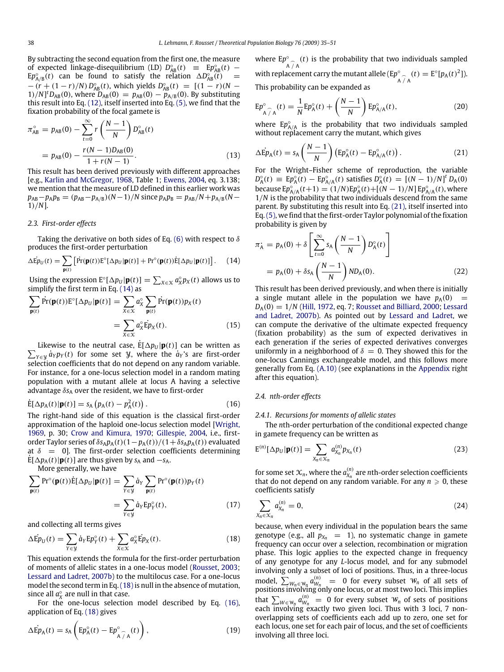By subtracting the second equation from the first one, the measure of expected linkage-disequilibrium (LD)  $D_{AB}^{\circ}(t) \equiv E p_{AB}^{\circ}(t)$  –  $E p_{A/B}^{\circ}(t)$  can be found to satisfy the relation  $\Delta D_{AB}^{\circ}(t)$  =  $-(r + (1 - r)/N) D_{AB}^{\circ}(t)$ , which yields  $D_{AB}^{\circ}(t) = [(1 - r)(N - r)]$  $1)/N$ <sup>t</sup> $D_{AB}(0)$ , where  $D_{AB}(0) = p_{AB}(0) - p_{A/B}(0)$ . By substituting this result into Eq. (12), itself inserted into Eq. (5), we find that the fixation probability of the focal gamete is

$$
\pi_{AB}^{\circ} = p_{AB}(0) - \sum_{t=0}^{\infty} r \left( \frac{N-1}{N} \right) D_{AB}^{\circ}(t)
$$

$$
= p_{AB}(0) - \frac{r(N-1)D_{AB}(0)}{1 + r(N-1)}.
$$
(13)

This result has been derived previously with different approaches [e.g., Karlin and McGregor, 1968, Table 1; Ewens, 2004, eq. 3.138; we mention that the measure of LD defined in this earlier work was  $p_{AB} - p_A p_B = (p_{AB} - p_{A/B})(N-1)/N$  since  $p_A p_B = p_{AB}/N + p_{A/B}(N-1)$ 1)/*N*].

#### *2.3. First-order effects*

Taking the derivative on both sides of Eq. (6) with respect to  $\delta$ produces the first-order perturbation

$$
\Delta \dot{\mathbf{E}} \dot{\mathbf{p}}_{U}(t) = \sum_{\mathbf{p}(t)} \left[ \dot{\mathbf{Pr}}(\mathbf{p}(t)) \mathbf{E}^{\circ}[\Delta p_{U} | \mathbf{p}(t)] + \mathbf{Pr}^{\circ}(\mathbf{p}(t)) \dot{\mathbf{E}}[\Delta p_{U} | \mathbf{p}(t)] \right]. \tag{14}
$$

Using the expression  $\mathbf{E}^{\circ}[\Delta p_U|\mathbf{p}(t)] = \sum_{X \in \mathcal{X}} a_X^{\circ} p_X(t)$  allows us to simplify the first term in Eq. (14) as

$$
\sum_{\mathbf{p}(t)} \Pr(\mathbf{p}(t)) \mathbf{E}^{\circ}[\Delta p_{U} | \mathbf{p}(t)] = \sum_{X \in \mathcal{X}} a_{X}^{\circ} \sum_{\mathbf{p}(t)} \Pr(\mathbf{p}(t)) p_{X}(t)
$$

$$
= \sum_{X \in \mathcal{X}} a_{X}^{\circ} \mathbf{E} p_{X}(t).
$$
(15)

Likewise to the neutral case,  $\dot{\mathbf{E}}[\Delta p_{U}|\mathbf{p}(t)]$  can be written as  $\sum_{Y \in \mathcal{Y}} \dot{a}_Y p_Y(t)$  for some set *Y*, where the  $\dot{a}_Y$ 's are first-order selection coefficients that do not depend on any random variable. For instance, for a one-locus selection model in a random mating population with a mutant allele at locus A having a selective advantage δ*s*<sup>A</sup> over the resident, we have to first-order

$$
\dot{\mathbf{E}}[\Delta p_{\mathbf{A}}(t)|\mathbf{p}(t)] = s_{\mathbf{A}}\left(p_{\mathbf{A}}(t) - p_{\mathbf{A}}^2(t)\right). \tag{16}
$$

The right-hand side of this equation is the classical first-order approximation of the haploid one-locus selection model [Wright, 1969, p. 30; Crow and Kimura, 1970; Gillespie, 2004, i.e., firstorder Taylor series of  $\delta s_A p_A(t)(1-p_A(t))/(1+\delta s_A p_A(t))$  evaluated at  $\delta$  = 0]. The first-order selection coefficients determining  $E[\Delta p_A(t)|\mathbf{p}(t)]$  are thus given by  $s_A$  and  $-s_A$ .

More generally, we have

$$
\sum_{\mathbf{p}(t)} \Pr^{\circ}(\mathbf{p}(t)) \dot{E}[\Delta p_U | \mathbf{p}(t)] = \sum_{Y \in \mathcal{Y}} \dot{a}_Y \sum_{\mathbf{p}(t)} \Pr^{\circ}(\mathbf{p}(t)) p_Y(t)
$$

$$
= \sum_{Y \in \mathcal{Y}} \dot{a}_Y E p_Y^{\circ}(t), \tag{17}
$$

and collecting all terms gives

$$
\Delta \dot{\mathbf{E}} p_U(t) = \sum_{Y \in \mathcal{Y}} \dot{a}_Y \mathbf{E} p_Y^{\circ}(t) + \sum_{X \in \mathcal{X}} a_X^{\circ} \dot{\mathbf{E}} p_X(t).
$$
 (18)

This equation extends the formula for the first-order perturbation of moments of allelic states in a one-locus model (Rousset, 2003; Lessard and Ladret, 2007b) to the multilocus case. For a one-locus model the second term in Eq.(18)is null in the absence of mutation, since all  $a_X^{\circ}$  are null in that case.

For the one-locus selection model described by Eq. (16), application of Eq. (18) gives

$$
\Delta \dot{\mathrm{E}} p_{\mathrm{A}}(t) = s_{\mathrm{A}} \left( \mathrm{E} p_{\mathrm{A}}^{\circ}(t) - \mathrm{E} p_{\mathrm{A}}^{\circ}(t) \right), \tag{19}
$$

where  $Ep^{\circ}$  $\int_{A/\hat{A}}^{\circ}$  (*t*) is the probability that two individuals sampled with replacement carry the mutant allele (Ep<sup>c</sup>  $_{A \hat{ } }^{\circ}$  (*t*) = E<sup>o</sup>[ $p_A(t)^2$ ]). This probability can be expanded as

$$
E p^{\circ}_{\widehat{A} \widehat{/} A}(t) = \frac{1}{N} E p^{\circ}_{A}(t) + \left(\frac{N-1}{N}\right) E p^{\circ}_{A/A}(t), \qquad (20)
$$

where  $Ep_{A/A}^{\circ}$  is the probability that two individuals sampled without replacement carry the mutant, which gives

$$
\Delta \dot{\mathrm{E}} p_{\mathrm{A}}(t) = s_{\mathrm{A}} \left( \frac{N-1}{N} \right) \left( \mathrm{E} p_{\mathrm{A}}^{\circ}(t) - \mathrm{E} p_{\mathrm{A}/\mathrm{A}}^{\circ}(t) \right). \tag{21}
$$

For the Wright–Fisher scheme of reproduction, the variable  $D_A^{\circ}(t) \equiv E p_A^{\circ}(t) - E p_{A/A}^{\circ}(t)$  satisfies  $D_A^{\circ}(t) = [(N-1)/N]^t D_A(0)$ because  $Ep_{A/A}^{\circ}(t+1) = (1/N)Ep_A^{\circ}(t) + [(N-1)/N] Ep_{A/A}^{\circ}(t)$ , where 1/*N* is the probability that two individuals descend from the same parent. By substituting this result into Eq. (21), itself inserted into Eq.(5), we find that the first-order Taylor polynomial of the fixation probability is given by

$$
\pi_{A} = p_{A}(0) + \delta \left[ \sum_{t=0}^{\infty} s_{A} \left( \frac{N-1}{N} \right) D_{A}^{\circ}(t) \right]
$$

$$
= p_{A}(0) + \delta s_{A} \left( \frac{N-1}{N} \right) ND_{A}(0). \tag{22}
$$

This result has been derived previously, and when there is initially a single mutant allele in the population we have  $p_A(0)$ *D*A(0) = 1/*N* (Hill, 1972, eq. 7; Rousset and Billiard, 2000; Lessard and Ladret, 2007b). As pointed out by Lessard and Ladret, we can compute the derivative of the ultimate expected frequency (fixation probability) as the sum of expected derivatives in each generation if the series of expected derivatives converges uniformly in a neighborhood of  $\delta = 0$ . They showed this for the one-locus Cannings exchangeable model, and this follows more generally from Eq. (A.10) (see explanations in the Appendix right after this equation).

#### *2.4. nth-order effects*

#### *2.4.1. Recursions for moments of allelic states*

The *n*th-order perturbation of the conditional expected change in gamete frequency can be written as

$$
E^{(n)}[\Delta p_U|\mathbf{p}(t)] = \sum_{X_n \in \mathcal{X}_n} a_{X_n}^{(n)} p_{X_n}(t)
$$
\n(23)

for some set  $\mathcal{X}_n$ , where the  $a_{\mathcal{X}_n}^{(n)}$  are *n*th-order selection coefficients that do not depend on any random variable. For any  $n \geq 0$ , these coefficients satisfy

$$
\sum_{X_n \in \mathcal{X}_n} a_{X_n}^{(n)} = 0, \tag{24}
$$

because, when every individual in the population bears the same genotype (e.g., all  $p_{X_n} = 1$ ), no systematic change in gamete frequency can occur over a selection, recombination or migration phase. This logic applies to the expected change in frequency of any genotype for any *L*-locus model, and for any submodel involving only a subset of loci of positions. Thus, in a three-locus model,  $\sum_{W_n \in W_n} a_{W_n}^{(n)} = 0$  for every subset  $W_n$  of all sets of positions involving only one locus, or at most two loci. This implies that  $\sum_{W \in W_n} a_{W_n}^{(n)} = 0$  for every subset  $W_n$  of sets of positions each involving exactly two given loci. Thus with 3 loci, 7 nonoverlapping sets of coefficients each add up to zero, one set for each locus, one set for each pair of locus, and the set of coefficients involving all three loci.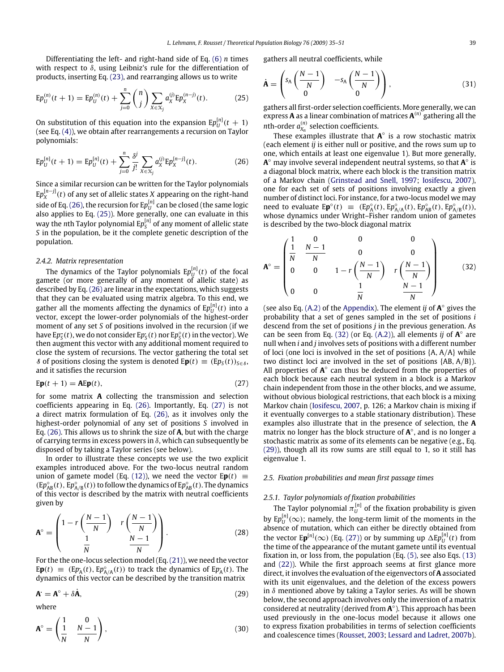Differentiating the left- and right-hand side of Eq. (6) *n* times with respect to  $\delta$ , using Leibniz's rule for the differentiation of products, inserting Eq. (23), and rearranging allows us to write

$$
\mathrm{E}p_{U}^{(n)}(t+1) = \mathrm{E}p_{U}^{(n)}(t) + \sum_{j=0}^{n} {n \choose j} \sum_{X \in \mathcal{X}_{j}} a_{X}^{(j)} \mathrm{E}p_{X}^{(n-j)}(t). \tag{25}
$$

On substitution of this equation into the expansion  $E p_U^{[n]}(t+1)$ (see Eq. (4)), we obtain after rearrangements a recursion on Taylor polynomials:

$$
E p_U^{[n]}(t+1) = E p_U^{[n]}(t) + \sum_{j=0}^{n} \frac{\delta^j}{j!} \sum_{X \in \mathcal{X}_j} a_X^{(j)} E p_X^{[n-j]}(t).
$$
 (26)

Since a similar recursion can be written for the Taylor polynomials  $\text{E} p_X^{[n-j]}(t)$  of any set of allelic states *X* appearing on the right-hand side of Eq. (26), the recursion for  $\mathrm{E}p_{U}^{[n]}$  can be closed (the same logic also applies to Eq. (25)). More generally, one can evaluate in this way the *n*th Taylor polynomial  $Ep^{[n]}_{\mathcal{S}}$  of any moment of allelic state *S* in the population, be it the complete genetic description of the population.

#### *2.4.2. Matrix representation*

The dynamics of the Taylor polynomials  $\text{E}p_{U}^{[n]}(t)$  of the focal gamete (or more generally of any moment of allelic state) as described by Eq. (26) are linear in the expectations, which suggests that they can be evaluated using matrix algebra. To this end, we gather all the moments affecting the dynamics of  $E p^{[n]}_U(t)$  into a vector, except the lower-order polynomials of the highest-order moment of any set *S* of positions involved in the recursion (if we have E $p_S^{\alpha}(t)$ , we do not consider E $p_S^{\alpha}(t)$  nor E $p_S^{\alpha}(t)$  in the vector). We then augment this vector with any additional moment required to close the system of recursions. The vector gathering the total set *S* of positions closing the system is denoted  $E$ **p**(*t*) ≡ ( $E$ *p*<sub>*S*</sub>(*t*))*s*∈*s*, and it satisfies the recursion

$$
Ep(t+1) = AEp(t),
$$
\n(27)

for some matrix **A** collecting the transmission and selection coefficients appearing in Eq. (26). Importantly, Eq. (27) is not a direct matrix formulation of Eq. (26), as it involves only the highest-order polynomial of any set of positions *S* involved in Eq. (26). This allows us to shrink the size of **A**, but with the charge of carrying terms in excess powers in  $\delta$ , which can subsequently be disposed of by taking a Taylor series (see below).

In order to illustrate these concepts we use the two explicit examples introduced above. For the two-locus neutral random union of gamete model (Eq. (12)), we need the vector  $E\mathbf{p}(t) \equiv$  $(Ep_{AB}^{\circ}(t), Ep_{A/B}^{\circ}(t))$  to follow the dynamics of  $Ep_{AB}^{\circ}(t)$ . The dynamics of this vector is described by the matrix with neutral coefficients given by

$$
\mathbf{A}^{\circ} = \begin{pmatrix} 1 - r\left(\frac{N-1}{N}\right) & r\left(\frac{N-1}{N}\right) \\ \frac{1}{N} & \frac{N-1}{N} \end{pmatrix}.
$$
 (28)

For the the one-locus selection model (Eq.(21)), we need the vector  $E\mathbf{p}(t) \equiv (E\mathbf{p}_A(t), E\mathbf{p}_{A/A}^\circ(t))$  to track the dynamics of  $E\mathbf{p}_A(t)$ . The dynamics of this vector can be described by the transition matrix

$$
\mathbf{A}^{\circ} = \mathbf{A}^{\circ} + \delta \dot{\mathbf{A}},\tag{29}
$$

where

$$
\mathbf{A}^{\circ} = \begin{pmatrix} 1 & 0 \\ \frac{1}{N} & \frac{N-1}{N} \end{pmatrix},\tag{30}
$$

gathers all neutral coefficients, while

$$
\dot{\mathbf{A}} = \begin{pmatrix} s_A \left( \frac{N-1}{N} \right) & -s_A \left( \frac{N-1}{N} \right) \\ 0 & 0 \end{pmatrix}, \tag{31}
$$

gathers all first-order selection coefficients. More generally, we can express **A** as a linear combination of matrices **A** (*n*) gathering all the *n*th-order  $a_{X_n}^{(n)}$  selection coefficients.

These examples illustrate that  $A^{\circ}$  is a row stochastic matrix (each element *ij* is either null or positive, and the rows sum up to one, which entails at least one eigenvalue 1). But more generally, A<sup>o</sup> may involve several independent neutral systems, so that A<sup>o</sup> is a diagonal block matrix, where each block is the transition matrix of a Markov chain (Grinstead and Snell, 1997; Iosifescu, 2007), one for each set of sets of positions involving exactly a given number of distinct loci. For instance, for a two-locus model we may need to evaluate  $E \mathbf{p}^{\circ}(t) \equiv (E p_{A}^{\circ}(t), E p_{A/A}^{\circ}(t), E p_{AB}^{\circ}(t), E p_{A/B}^{\circ}(t)),$ whose dynamics under Wright–Fisher random union of gametes is described by the two-block diagonal matrix

$$
\mathbf{A}^{\circ} = \begin{pmatrix} \frac{1}{N} & \frac{0}{N} & 0 & 0 \\ \frac{1}{N} & \frac{N-1}{N} & 0 & 0 \\ 0 & 0 & 1 - r \left( \frac{N-1}{N} \right) & r \left( \frac{N-1}{N} \right) \\ 0 & 0 & \frac{1}{N} & \frac{N-1}{N} \end{pmatrix} \tag{32}
$$

(see also Eq. (A.2) of the Appendix). The element *ij* of **A** ◦ gives the probability that a set of genes sampled in the set of positions *i* descend from the set of positions *j* in the previous generation. As can be seen from Eq.  $(32)$  (or Eq.  $(A.2)$ ), all elements *ij* of  $A^{\circ}$  are null when *i* and *j* involves sets of positions with a different number of loci (one loci is involved in the set of positions  ${A, A/A}$  while two distinct loci are involved in the set of positions {AB, A/B}). All properties of  $A^\circ$  can thus be deduced from the properties of each block because each neutral system in a block is a Markov chain independent from those in the other blocks, and we assume, without obvious biological restrictions, that each block is a mixing Markov chain (Iosifescu, 2007, p. 126; a Markov chain is mixing if it eventually converges to a stable stationary distribution). These examples also illustrate that in the presence of selection, the **A** matrix no longer has the block structure of  $A^\circ$ , and is no longer a stochastic matrix as some of its elements can be negative (e.g., Eq. (29)), though all its row sums are still equal to 1, so it still has eigenvalue 1.

#### *2.5. Fixation probabilities and mean first passage times*

# *2.5.1. Taylor polynomials of fixation probabilities*

The Taylor polynomial  $\pi_U^{[n]}$  of the fixation probability is given by  $E p_U^{[n]}(\infty)$ ; namely, the long-term limit of the moments in the absence of mutation, which can either be directly obtained from the vector  $E\mathbf{p}^{[n]}(\infty)$  (Eq. (27)) or by summing up  $\Delta E p_U^{[n]}(t)$  from the time of the appearance of the mutant gamete until its eventual fixation in, or loss from, the population (Eq. (5), see also Eqs. (13) and (22)). While the first approach seems at first glance more direct, it involves the evaluation of the eigenvectors of **A** associated with its unit eigenvalues, and the deletion of the excess powers in  $\delta$  mentioned above by taking a Taylor series. As will be shown below, the second approach involves only the inversion of a matrix considered at neutrality (derived from **A** ◦ ). This approach has been used previously in the one-locus model because it allows one to express fixation probabilities in terms of selection coefficients and coalescence times (Rousset, 2003; Lessard and Ladret, 2007b).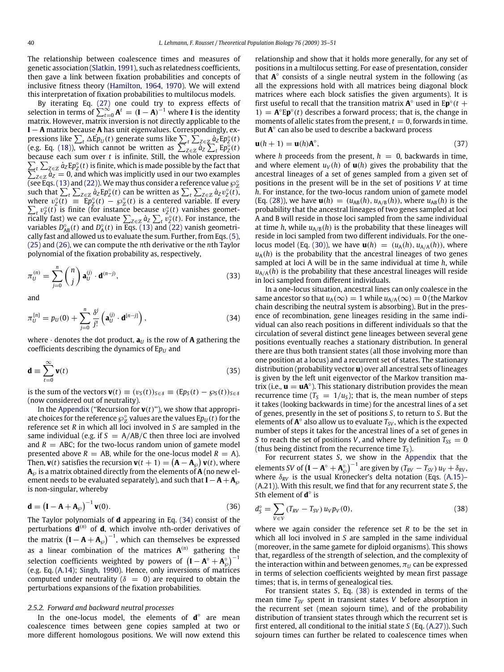The relationship between coalescence times and measures of genetic association (Slatkin, 1991), such as relatedness coefficients, then gave a link between fixation probabilities and concepts of inclusive fitness theory (Hamilton, 1964, 1970). We will extend this interpretation of fixation probabilities to multilocus models.

By iterating Eq. (27) one could try to express effects of selection in terms of  $\sum_{t=0}^{\infty} A^t = (I - A)^{-1}$  where **I** is the identity matrix. However, matrix inversion is not directly applicable to the **I** − **A** matrix because **A** has unit eigenvalues. Correspondingly, expressions like  $\sum_{t} \Delta E p_{U}(t)$  generate sums like  $\sum_{t} \sum_{Z \in \mathbb{Z}} a_{Z} E p_{Z}^{\circ}(t)$ (e.g. Eq. (18)), which cannot be written as  $\sum_{Z \in \mathbb{Z}} a_Z \sum_t E p_Z^{\circ}(t)$ because each sum over *t* is infinite. Still, the whole expression  $\sum_{z} \sum_{z \in \mathbb{Z}} \dot{a}_z E p_z^{\circ}(t)$  is finite, which is made possible by the fact that  $\sum_{z \in \mathbb{Z}} \dot{a}_z = 0$ , and which was implicitly used in our two examples  $\overline{z} \in \mathbb{Z} \atop Z \in \mathbb{Z}} \overline{a_Z} = 0$ , and which was implicitly used in our two examples (see Eqs. (13) and (22)). We may thus consider a reference value  $\wp^{\circ}_{\chi}$ <br>such that  $\sum_{t} \sum_{Z \in \mathbb{Z}} a_Z E p_Z^{\circ}(t)$  can be written as  $\sum_{t} \sum_{Z \in \mathbb{Z}} a_Z v_Z^{\circ}(t)$ , where  $v_2^{\circ}(t) = Ep_2^{\circ}(t) - \wp_2^{\circ}(t)$  is a centered variable. If every where  $v_z(t) = Lp_z(t) - w_z(t)$  is a centered variable. If every  $\sum_t v_z^o(t)$  is finite (for instance because  $v_z^o(t)$  vanishes geomet-**Fically fast) we can evaluate**  $\sum_{Z \in \mathbb{Z}} a_Z \sum_t v_Z^{\circ}(t)$ **. For instance, the** variables  $D_{AB}^{\circ}(t)$  and  $D_{A}^{\circ}(t)$  in Eqs. (13) and (22) vanish geometrically fast and allowed us to evaluate the sum. Further, from Eqs.(5), (25) and (26), we can compute the *n*th derivative or the *n*th Taylor polynomial of the fixation probability as, respectively,

$$
\pi_U^{(n)} = \sum_{j=0}^n \binom{n}{j} \mathbf{a}_U^{(j)} \cdot \mathbf{d}^{(n-j)},\tag{33}
$$

and

$$
\pi_U^{[n]} = p_U(0) + \sum_{j=0}^n \frac{\delta^j}{j!} \left( \mathbf{a}_U^{(j)} \cdot \mathbf{d}^{[n-j]} \right),\tag{34}
$$

where  $\cdot$  denotes the dot product,  $\mathbf{a}_U$  is the row of **A** gathering the coefficients describing the dynamics of  $Ep_{U}$  and

$$
\mathbf{d} \equiv \sum_{t=0}^{\infty} \mathbf{v}(t) \tag{35}
$$

is the sum of the vectors  $\mathbf{v}(t) \equiv (v_S(t))_{S \in \mathcal{S}} \equiv (Ep_S(t) - \wp_S(t))_{S \in \mathcal{S}}$ (now considered out of neutrality).

In the Appendix ("Recursion for  $\mathbf{v}(t)$ "), we show that appropriate choices for the reference  $\wp^{\circ}_\mathbf{Z}$  values are the values E $p_{\mathbf{U}}(t)$  for the reference set *R* in which all loci involved in *S* are sampled in the same individual (e.g. if  $S = A/AB/C$  then three loci are involved and  $R = ABC$ ; for the two-locus random union of gamete model presented above  $R = AB$ , while for the one-locus model  $R = A$ ). Then,  $\mathbf{v}(t)$  satisfies the recursion  $\mathbf{v}(t+1) = (\mathbf{A} - \mathbf{A}_{\wp}) \mathbf{v}(t)$ , where  $\mathbf{A}_{\wp}$  is a matrix obtained directly from the elements of  $\mathbf{A}$  (no new element needs to be evaluated separately), and such that **I**  $- A + A_{\wp}$ is non-singular, whereby

$$
\mathbf{d} = \left(\mathbf{I} - \mathbf{A} + \mathbf{A}_{\varnothing}\right)^{-1} \mathbf{v}(0). \tag{36}
$$

The Taylor polynomials of **d** appearing in Eq. (34) consist of the perturbations  $\mathbf{d}^{(n)}$  of **d**, which involve *n*th-order derivatives of the matrix  $\left(\mathbf{I}-\mathbf{A}+\mathbf{A}_{\wp}\right)^{-1}$ , which can themselves be expressed as a linear combination of the matrices **A** (*n*) gathering the selection coefficients weighted by powers of  $(I - A^\circ + A^\circ_\wp)^{-1}$ (e.g. Eq. (A.14); Singh, 1990). Hence, only inversions of matrices computed under neutrality ( $\delta = 0$ ) are required to obtain the perturbations expansions of the fixation probabilities.

#### *2.5.2. Forward and backward neutral processes*

In the one-locus model, the elements of **d**<sup>o</sup> are mean coalescence times between gene copies sampled at two or more different homologous positions. We will now extend this relationship and show that it holds more generally, for any set of positions in a multilocus setting. For ease of presentation, consider that **A**<sup>o</sup> consists of a single neutral system in the following (as all the expressions hold with all matrices being diagonal block matrices where each block satisfies the given arguments). It is first useful to recall that the transition matrix  $A^{\circ}$  used in  $Ep^{\circ}(t +$ 1) =  $\mathbf{A}^{\circ}$ **Ep**<sup> $\circ$ </sup>(*t*) describes a forward process; that is, the change in moments of allelic states from the present,  $t = 0$ , forwards in time. But **A**<sup>o</sup> can also be used to describe a backward process

$$
\mathbf{u}(h+1) = \mathbf{u}(h)\mathbf{A}^{\circ},\tag{37}
$$

where *h* proceeds from the present,  $h = 0$ , backwards in time, and where element  $u_V(h)$  of  $u(h)$  gives the probability that the ancestral lineages of a set of genes sampled from a given set of positions in the present will be in the set of positions *V* at time *h*. For instance, for the two-locus random union of gamete model  $(Eq. (28))$ , we have  $u(h) = (u_{AB}(h), u_{A/B}(h))$ , where  $u_{AB}(h)$  is the probability that the ancestral lineages of two genes sampled at loci A and B will reside in those loci sampled from the same individual at time *h*, while  $u_{A/B}(h)$  is the probability that these lineages will reside in loci sampled from two different individuals. For the onelocus model (Eq. (30)), we have  $\mathbf{u}(h) = (u_A(h), u_{A/A}(h))$ , where  $u_A(h)$  is the probability that the ancestral lineages of two genes sampled at loci A will be in the same individual at time *h*, while  $u_{A/A}(h)$  is the probability that these ancestral lineages will reside in loci sampled from different individuals.

In a one-locus situation, ancestral lines can only coalesce in the same ancestor so that  $u_A(\infty) = 1$  while  $u_{A/A}(\infty) = 0$  (the Markov chain describing the neutral system is absorbing). But in the presence of recombination, gene lineages residing in the same individual can also reach positions in different individuals so that the circulation of several distinct gene lineages between several gene positions eventually reaches a stationary distribution. In general there are thus both transient states (all those involving more than one position at a locus) and a recurrent set of states. The stationary distribution (probability vector **u**) over all ancestral sets of lineages is given by the left unit eigenvector of the Markov transition matrix (i.e.,  $\mathbf{u} = \mathbf{u} \mathbf{A}^{\circ}$ ). This stationary distribution provides the mean recurrence time ( $T_S = 1/u_S$ ); that is, the mean number of steps it takes (looking backwards in time) for the ancestral lines of a set of genes, presently in the set of positions *S*, to return to *S*. But the elements of  $A^{\circ}$  also allow us to evaluate  $T_{SV}$ , which is the expected number of steps it takes for the ancestral lines of a set of genes in *S* to reach the set of positions *V*, and where by definition  $T_{SS} = 0$ (thus being distinct from the recurrence time *T<sup>S</sup>* ).

For recurrent states *S*, we show in the Appendix that the elements *SV* of  $(I - A^{\circ} + A^{\circ}_{\wp})^{-1}$  are given by  $(T_{RV} - T_{SV}) u_V + \delta_{RV}$ where  $\delta_{RV}$  is the usual Kronecker's delta notation (Eqs. (A.15)– (A.21)). With this result, we find that for any recurrent state *S*, the *S*th element of **d** ◦ is

$$
d_S^{\circ} = \sum_{V \in V} (T_{RV} - T_{SV}) u_V p_V(0), \qquad (38)
$$

where we again consider the reference set *R* to be the set in which all loci involved in *S* are sampled in the same individual (moreover, in the same gamete for diploid organisms). This shows that, regardless of the strength of selection, and the complexity of the interaction within and between genomes,  $\pi_U$  can be expressed in terms of selection coefficients weighted by mean first passage times; that is, in terms of genealogical ties.

For transient states *S*, Eq. (38) is extended in terms of the mean time *TSV* spent in transient states *V* before absorption in the recurrent set (mean sojourn time), and of the probability distribution of transient states through which the recurrent set is first entered, all conditional to the initial state *S* (Eq. (A.27)). Such sojourn times can further be related to coalescence times when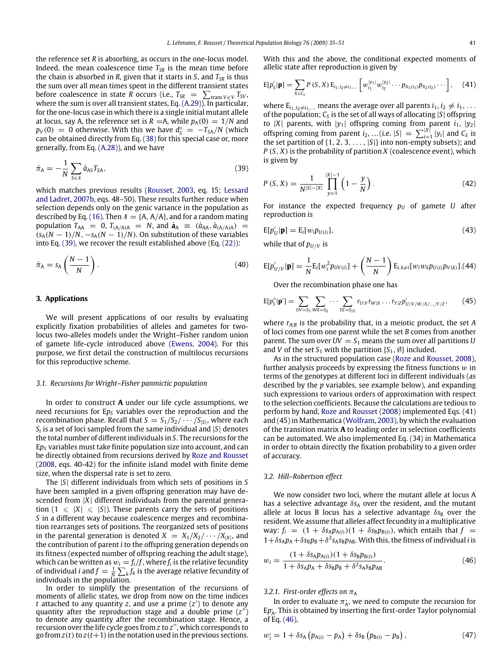the reference set *R* is absorbing, as occurs in the one-locus model. Indeed, the mean coalescence time  $T_{SR}$  is the mean time before the chain is absorbed in *R*, given that it starts in *S*, and *TSR* is thus the sum over all mean times spent in the different transient states before coalescence in state *R* occurs (i.e.,  $T_{SR} = \sum_{trans} v \in V T_{SV}$ , where the sum is over all transient states, Eq. (A.29)). In particular, for the one-locus case in which there is a single initial mutant allele at locus, say A, the reference set is  $R = A$ , while  $p_A(0) = 1/N$  and  $p_V(0) = 0$  otherwise. With this we have  $d_S^{\circ} = -T_{SA}/N$  (which can be obtained directly from Eq. (38) for this special case or, more generally, from Eq. (A.28)), and we have

$$
\dot{\pi}_{A} = -\frac{1}{N} \sum_{S \in \delta} \dot{a}_{AS} T_{SA},\tag{39}
$$

which matches previous results (Rousset, 2003, eq. 15; Lessard and Ladret, 2007b, eqs. 48–50). These results further reduce when selection depends only on the genic variance in the population as described by Eq. (16). Then  $\delta = \{A, A/A\}$ , and for a random mating population  $T_{AA}$  = 0,  $T_{(A/A)A}$  = N, and  $\dot{a}_A$  =  $(\dot{a}_{AA}, \dot{a}_{(A/A)A})$  =  $(s_A(N-1)/N, -s_A(N-1)/N)$ . On substitution of these variables into Eq. (39), we recover the result established above (Eq. (22)):

$$
\dot{\pi}_A = s_A \left( \frac{N-1}{N} \right). \tag{40}
$$

#### **3. Applications**

We will present applications of our results by evaluating explicitly fixation probabilities of alleles and gametes for twolocus two-alleles models under the Wright–Fisher random union of gamete life-cycle introduced above (Ewens, 2004). For this purpose, we first detail the construction of multilocus recursions for this reproductive scheme.

#### *3.1. Recursions for Wright–Fisher panmictic population*

In order to construct **A** under our life cycle assumptions, we need recursions for E<sub>*pS*</sub> variables over the reproduction and the recombination phase. Recall that  $S = S_1/S_2/\cdots/S_{|S|}$ , where each *Si* is a set of loci sampled from the same individual and |*S*| denotes the total number of different individuals in *S*. The recursions for the E*p<sup>S</sup>* variables must take finite population size into account, and can be directly obtained from recursions derived by Roze and Rousset (2008, eqs. 40-42) for the infinite island model with finite deme size, when the dispersal rate is set to zero.

The |*S*| different individuals from which sets of positions in *S* have been sampled in a given offspring generation may have descended from |*X*| different individuals from the parental generation  $(1 \leq |X| \leq |S|)$ . These parents carry the sets of positions *S* in a different way because coalescence merges and recombination rearranges sets of positions. The reorganized sets of positions in the parental generation is denoted  $X = X_1/X_2/\cdots/X_{|X|}$ , and the contribution of parent *i* to the offspring generation depends on its fitness (expected number of offspring reaching the adult stage), which can be written as  $w_i = f_i/f$ , where  $f_i$  is the relative fecundity of individual *i* and  $f = \frac{1}{N} \sum_{k} f_k$  is the average relative fecundity of individuals in the population.

In order to simplify the presentation of the recursions of moments of allelic states, we drop from now on the time indices *t* attached to any quantity *z*, and use a prime (*z*') to denote any quantity after the reproduction stage and a double prime (z<sup>"</sup>) to denote any quantity after the recombination stage. Hence, a recursion over the life cycle goes from *z* to *z* <sup>00</sup>, which corresponds to go from  $z(t)$  to  $z(t+1)$  in the notation used in the previous sections.

With this and the above, the conditional expected moments of allelic state after reproduction is given by

$$
E[p'_{S}|\mathbf{p}] = \sum_{X \in C_{S}} P(S, X) E_{i_1, i_2 \neq i_1, \dots} \left[ w_{i_1}^{|y_1|} w_{i_2}^{|y_2|} \dots p_{X_1(i_1)} p_{X_2(i_2)} \dots \right], \quad (41)
$$

where  $E_{i_1,i_2\neq i_1,\dots}$  means the average over all parents  $i_1, i_2 \neq i_1, \dots$ of the population; *C<sup>S</sup>* is the set of all ways of allocating |*S*| offspring to  $|X|$  parents, with  $|y_1|$  offspring coming from parent  $i_1$ ,  $|y_2|$ offspring coming from parent  $i_2$ , ... (i.e.  $|S| = \sum_{i=1}^{|X|} |y_i|$  and  $C_S$  is the set partition of  $\{1, 2, 3, \ldots, |S|\}$  into non-empty subsets); and  $P(S, X)$  is the probability of partition  $X$  (coalescence event), which is given by

$$
P(S, X) = \frac{1}{N^{|S| - |X|}} \prod_{y=1}^{|X| - 1} \left(1 - \frac{y}{N}\right).
$$
 (42)

For instance the expected frequency  $p_U$  of gamete *U* after reproduction is

$$
E[p'_{U}|\mathbf{p}] = E_i[w_i p_{U(i)}],\tag{43}
$$

while that of  $p_{U/V}$  is

$$
E[p'_{U/V}|\mathbf{p}] = \frac{1}{N} E_i[w_i^2 p_{UV(i)}] + \left(\frac{N-1}{N}\right) E_{i,k\neq i}[w_i w_k p_{U(i)} p_{V(k)}].
$$
(44)

Over the recombination phase one has

$$
E[p''_S|\mathbf{p}'] = \sum_{UV=S_1} \sum_{WX=S_2} \cdots \sum_{YZ=S_{|S|}} r_{U|V} r_{W|X} \dots r_{Y|Z} p'_{U/V/W/X/\dots/Y/Z},
$$
 (45)

where  $r_{A|B}$  is the probability that, in a meiotic product, the set *A* of loci comes from one parent while the set *B* comes from another parent. The sum over  $UV = S_1$  means the sum over all partitions *U* and *V* of the set  $S_1$  with the partition  $\{S_1, \emptyset\}$  included.

As in the structured population case (Roze and Rousset, 2008), further analysis proceeds by expressing the fitness functions  $w$  in terms of the genotypes at different loci in different individuals (as described by the *p* variables, see example below), and expanding such expressions to various orders of approximation with respect to the selection coefficients. Because the calculations are tedious to perform by hand, Roze and Rousset (2008) implemented Eqs. (41) and (45) in Mathematica (Wolfram, 2003), by which the evaluation of the transition matrix **A** to leading order in selection coefficients can be automated. We also implemented Eq. (34) in Mathematica in order to obtain directly the fixation probability to a given order of accuracy.

#### *3.2. Hill–Robertson effect*

We now consider two loci, where the mutant allele at locus A has a selective advantage  $\delta s_A$  over the resident, and the mutant allele at locus B locus has a selective advantage  $\delta s_B$  over the resident. We assume that alleles affect fecundity in a multiplicative way:  $f_i = (1 + \delta s_A p_{A(i)})(1 + \delta s_B p_{B(i)})$ , which entails that  $f =$  $1+\delta s_A p_A + \delta s_B p_B + \delta^2 s_A s_B p_{AB}$ . With this, the fitness of individual *i* is

$$
w_i = \frac{(1 + \delta s_A p_{A(i)})(1 + \delta s_B p_{B(i)})}{1 + \delta s_A p_A + \delta s_B p_B + \delta^2 s_A s_B p_{AB}}.
$$
(46)

#### *3.2.1. First-order effects on*  $\pi_A$

In order to evaluate  $\pi_A^*$ , we need to compute the recursion for Ep<sub>A</sub>. This is obtained by inserting the first-order Taylor polynomial of Eq. (46),

$$
w_i = 1 + \delta s_A (p_{A(i)} - p_A) + \delta s_B (p_{B(i)} - p_B),
$$
 (47)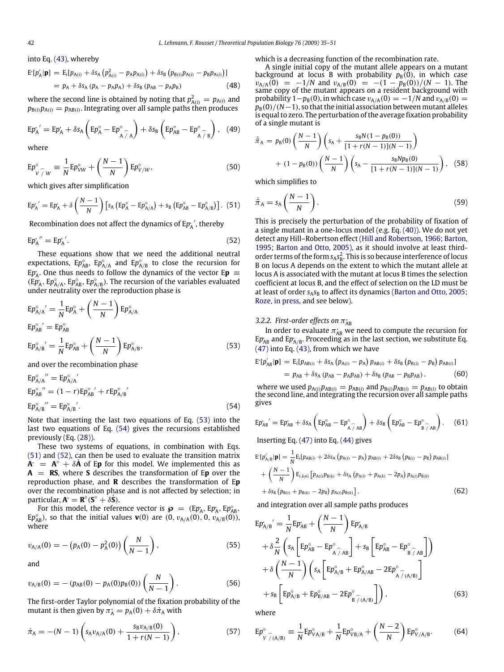into Eq. (43), whereby

$$
E[p'_A|\mathbf{p}] = E_i[p_{A(i)} + \delta s_A (p_{A(i)}^2 - p_A p_{A(i)}) + \delta s_B (p_{B(i)} p_{A(i)} - p_B p_{A(i)})]
$$
  
=  $p_A + \delta s_A (p_A - p_A p_A) + \delta s_B (p_{AB} - p_A p_B)$  (48)

where the second line is obtained by noting that  $p_{A(i)}^2 = p_{A(i)}$  and  $p_{B(i)}p_{A(i)} = p_{AB(i)}$ . Integrating over all sample paths then produces

$$
E p_{A}^{\cdot}{}' = E p_{A}^{\cdot} + \delta s_{A} \left( E p_{A}^{\circ} - E p_{A}^{\circ}{}_{A} \right) + \delta s_{B} \left( E p_{AB}^{\circ} - E p_{A}^{\circ}{}_{A} \right), \quad (49)
$$

where

$$
E p_{V/W}^{\circ} \equiv \frac{1}{N} E p_{VW}^{\circ} + \left(\frac{N-1}{N}\right) E p_{V/W}^{\circ}, \tag{50}
$$

which gives after simplification

$$
E p_{A}^{\, \prime} = E p_{A}^{\, \prime} + \delta \left( \frac{N-1}{N} \right) \left[ s_{A} \left( E p_{A}^{\circ} - E p_{A/A}^{\circ} \right) + s_{B} \left( E p_{AB}^{\circ} - E p_{A/B}^{\circ} \right) \right].
$$
 (51)

Recombination does not affect the dynamics of Ep<sub>'A</sub>', thereby

$$
E p_{A}^{\prime\prime} = E p_{A}^{\prime}.
$$

These equations show that we need the additional neutral expectations,  $Ep^{\circ}_{AB}$ ,  $Ep^{\circ}_{A/A}$  and  $Ep^{\circ}_{A/B}$  to close the recursion for  $E p_A$ . One thus needs to follow the dynamics of the vector  $E \mathbf{p} =$  $(\widehat{E}p_{A}^{\circ}, Ep_{A/A}^{\circ}, Ep_{A/B}^{\circ})$ . The recursion of the variables evaluated under neutrality over the reproduction phase is

$$
E p_{A/A}^{\circ}{}' = \frac{1}{N} E p_A^{\circ} + \left(\frac{N-1}{N}\right) E p_{A/A}^{\circ}
$$
  
\n
$$
E p_{AB}^{\circ}{}' = E p_{AB}^{\circ}
$$
  
\n
$$
E p_{A/B}^{\circ}{}' = \frac{1}{N} E p_{AB}^{\circ} + \left(\frac{N-1}{N}\right) E p_{A/B}^{\circ},
$$
\n(53)

and over the recombination phase

$$
Ep_{A/A}^{\circ}'' = Ep_{A/A}^{\circ}'
$$
  
\n
$$
Ep_{AB}^{\circ}'' = (1 - r)Ep_{AB}^{\circ} + rEp_{A/B}^{\circ}'
$$
  
\n
$$
Ep_{A/B}^{\circ}'' = Ep_{A/B}^{\circ}.
$$
  
\n(54)

Note that inserting the last two equations of Eq. (53) into the last two equations of Eq. (54) gives the recursions established previously (Eq. (28)).

These two systems of equations, in combination with Eqs. (51) and (52), can then be used to evaluate the transition matrix  $\mathbf{A}^{\cdot} = \mathbf{A}^{\circ} + \delta \mathbf{A}$  of E**p** for this model. We implemented this as **A** = **RS**, where **S** describes the transformation of E**p** over the reproduction phase, and **R** describes the transformation of E**p** over the recombination phase and is not affected by selection; in  $\mathbf{p}$ articular,  $\mathbf{A} = \mathbf{R}^{\circ}(\mathbf{S}^{\circ} + \delta \dot{\mathbf{S}}).$ 

For this model, the reference vector is  $\boldsymbol{\wp} = (E p_A, E p_A, E p_{AB}^{\circ})$ Ep<sub>AB</sub>), so that the initial values **v**(0) are  $(0, v_{A/A}(0), 0, v_{A/B}(0)),$ where

$$
v_{A/A}(0) = -\left(p_A(0) - p_A^2(0)\right) \left(\frac{N}{N-1}\right),\tag{55}
$$

and

$$
v_{A/B}(0) = -(p_{AB}(0) - p_A(0)p_B(0))\left(\frac{N}{N-1}\right).
$$
 (56)

The first-order Taylor polynomial of the fixation probability of the mutant is then given by  $\pi_A^{\cdot} = p_A(0) + \delta \dot{\pi}_A$  with

$$
\dot{\pi}_{A} = -(N-1)\left(s_{A}v_{A/A}(0) + \frac{s_{B}v_{A/B}(0)}{1 + r(N-1)}\right),\tag{57}
$$

which is a decreasing function of the recombination rate.

A single initial copy of the mutant allele appears on a mutant background at locus B with probability  $p_B(0)$ , in which case  $v_{A/A}(0) = -1/N$  and  $v_{A/B}(0) = -(1 - p_B(0))/(N - 1)$ . The same copy of the mutant appears on a resident background with probability  $1-p_B(0)$ , in which case  $v_{A/A}(0) = -1/N$  and  $v_{A/B}(0) = 0$  $p_B(0)/(N-1)$ , so that the initial association between mutant alleles is equal to zero. The perturbation of the average fixation probability of a single mutant is

$$
\dot{\bar{\pi}}_{A} = p_{B}(0) \left( \frac{N-1}{N} \right) \left( s_{A} + \frac{s_{B}N(1 - p_{B}(0))}{[1 + r(N-1)](N-1)} \right) + (1 - p_{B}(0)) \left( \frac{N-1}{N} \right) \left( s_{A} - \frac{s_{B}Np_{B}(0)}{[1 + r(N-1)](N-1)} \right), (58)
$$

which simplifies to

$$
\dot{\bar{\pi}}_A = s_A \left( \frac{N-1}{N} \right). \tag{59}
$$

This is precisely the perturbation of the probability of fixation of a single mutant in a one-locus model (e.g. Eq. (40)). We do not yet detect any Hill–Robertson effect (Hill and Robertson, 1966; Barton, 1995; Barton and Otto, 2005), as it should involve at least thirdorder terms of the form  $s_A s_B^2$ . This is so because interference of locus B on locus A depends on the extent to which the mutant allele at locus A is associated with the mutant at locus B times the selection coefficient at locus B, and the effect of selection on the LD must be at least of order  $s_A s_B$  to affect its dynamics (Barton and Otto, 2005; Roze, in press, and see below).

# 3.2.2. First-order effects on  $\pi_{AB}$

In order to evaluate  $\pi_{AB}$  we need to compute the recursion for  $Ep_{AB}$  and  $Ep_{A/B}$ . Proceeding as in the last section, we substitute Eq.  $(47)$  into Eq.  $(43)$ , from which we have

$$
E^*[p'_{AB}|\mathbf{p}] = E_i[p_{AB(i)} + \delta s_A (p_{A(i)} - p_A) p_{AB(i)} + \delta s_B (p_{B(i)} - p_B) p_{AB(i)}]
$$

$$
= p_{AB} + \delta s_A (p_{AB} - p_A p_{AB}) + \delta s_B (p_{AB} - p_B p_{AB}), \qquad (60)
$$

where we used  $p_{A(i)}p_{AB(i)} = p_{AB(i)}$  and  $p_{B(i)}p_{AB(i)} = p_{AB(i)}$  to obtain the second line, and integrating the recursion over all sample paths gives

$$
E p_{AB}^{\circ}{}' = E p_{AB}^{\circ} + \delta s_A \left( E p_{AB}^{\circ} - E p_{A \widehat{A} AB}^{\circ} \right) + \delta s_B \left( E p_{AB}^{\circ} - E p_{B \widehat{A} AB}^{\circ} \right). \quad (61)
$$

Inserting Eq. (47) into Eq. (44) gives

$$
E [p'_{A/B} | \mathbf{p}] = \frac{1}{N} E_i [p_{AB(i)} + 2\delta s_A (p_{A(i)} - p_A) p_{AB(i)} + 2\delta s_B (p_{B(i)} - p_B) p_{AB(i)}]
$$
  
+ 
$$
\left(\frac{N-1}{N}\right) E_{i,k\neq i} [p_{A(i)}p_{B(k)} + \delta s_A (p_{A(i)} + p_{A(k)} - 2p_A) p_{A(i)}p_{B(k)} + \delta s_B (p_{B(i)} + p_{B(k)} - 2p_B) p_{A(i)}p_{B(k)}],
$$
(62)

and integration over all sample paths produces

$$
E p_{A/B}^{\prime}^{\prime} = \frac{1}{N} E p_{AB}^{\prime} + \left(\frac{N-1}{N}\right) E p_{A/B}^{\prime}
$$
  
+  $\delta \frac{2}{N} \left( s_A \left[ E p_{AB}^{\circ} - E p_{A \hat{A} AB}^{\circ} \right] + s_B \left[ E p_{AB}^{\circ} - E p_{B \hat{A} AB}^{\circ} \right] \right)$   
+  $\delta \left(\frac{N-1}{N}\right) \left( s_A \left[ E p_{A/B}^{\circ} + E p_{A/AB}^{\circ} - 2 E p_{A \hat{A} (A/B)}^{\circ} \right] + s_B \left[ E p_{A/B}^{\circ} + E p_{B/AB}^{\circ} - 2 E p_{B \hat{A} (A/B)}^{\circ} \right] \right),$  (63)

where

$$
E p^{\circ}_{V \ \gamma(A/B)} \equiv \frac{1}{N} E p^{\circ}_{V A/B} + \frac{1}{N} E p^{\circ}_{V B/A} + \left(\frac{N-2}{N}\right) E p^{\circ}_{V/A/B}.
$$
 (64)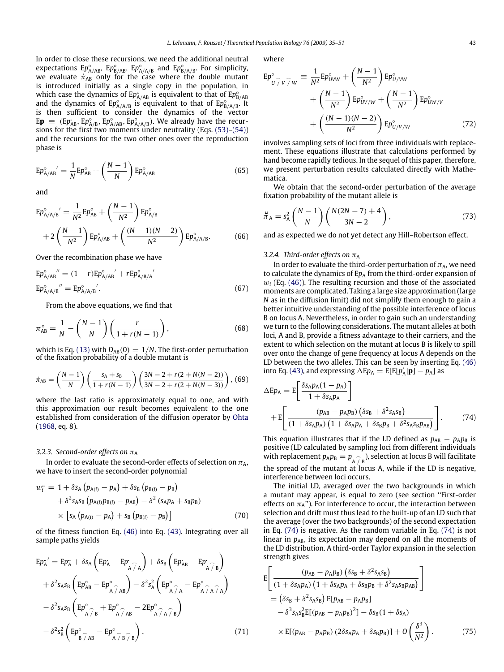In order to close these recursions, we need the additional neutral expectations E<sub>*P*<sup>°</sup><sub>A/AB</sub>, E<sub>*P*<sup>°</sup><sub>B</sub><sup>°</sup><sub>A/A/B</sub><sup>°</sup> and E<sub>*P*<sup>°</sup><sub>B/A/B</sub><sup>°</sup>. For simplicity,</sub></sub></sub> we evaluate  $\dot{\pi}_{AB}$  only for the case where the double mutant is introduced initially as a single copy in the population, in which case the dynamics of  $Ep^{\circ}_{A/AB}$  is equivalent to that of  $Ep^{\circ}_{B/AB}$  and the dynamics of  $Ep^{\circ}_{A/AB}$  is equivalent to that of  $Ep^{\circ}_{B/AB}$ . It is then sufficient to consider the dynamics of the vector  $E\mathbf{p} = (Ep_{AB}, Ep_{A/B}^{\circ}, Ep_{A/AB}^{\circ}, Ep_{A/AB}^{\circ})$ . We already have the recursions for the first two moments under neutrality (Eqs. (53)–(54)) and the recursions for the two other ones over the reproduction phase is

$$
E p^{\circ}_{A/AB}{}^{'} = \frac{1}{N} E p^{\circ}_{AB} + \left(\frac{N-1}{N}\right) E p^{\circ}_{A/AB}
$$
\n(65)

and

$$
E p_{A/A/B}^{\circ}{}' = \frac{1}{N^2} E p_{AB}^{\circ} + \left(\frac{N-1}{N^2}\right) E p_{A/B}^{\circ} + 2\left(\frac{N-1}{N^2}\right) E p_{A/AB}^{\circ} + \left(\frac{(N-1)(N-2)}{N^2}\right) E p_{A/A/B}^{\circ}.
$$
 (66)

Over the recombination phase we have

$$
Ep_{A/AB}^{\circ}'' = (1 - r)Ep_{A/AB}^{\circ}' + rEp_{A/B/A}^{\circ}'
$$
  
\n
$$
Ep_{A/A/B}^{\circ}'' = Ep_{A/A/B}^{\circ}'.
$$
 (67)

From the above equations, we find that

$$
\pi_{AB}^{\circ} = \frac{1}{N} - \left(\frac{N-1}{N}\right) \left(\frac{r}{1+r(N-1)}\right),\tag{68}
$$

which is Eq. (13) with  $D_{AB}(0) = 1/N$ . The first-order perturbation of the fixation probability of a double mutant is

$$
\dot{\pi}_{AB} = \left(\frac{N-1}{N}\right) \left(\frac{s_A + s_B}{1 + r(N-1)}\right) \left(\frac{3N-2 + r(2 + N(N-2))}{3N-2 + r(2 + N(N-3))}\right),
$$
 (69)

where the last ratio is approximately equal to one, and with this approximation our result becomes equivalent to the one established from consideration of the diffusion operator by Ohta (1968, eq. 8).

#### *3.2.3. Second-order effects on*  $\pi_A$

In order to evaluate the second-order effects of selection on  $\pi_A$ , we have to insert the second-order polynomial

$$
w_i^{\cdot} = 1 + \delta s_A (p_{A(i)} - p_A) + \delta s_B (p_{B(i)} - p_B) + \delta^2 s_A s_B (p_{A(i)} p_{B(i)} - p_{AB}) - \delta^2 (s_A p_A + s_B p_B) \times [s_A (p_{A(i)} - p_A) + s_B (p_{B(i)} - p_B)]
$$
(70)

of the fitness function Eq. (46) into Eq. (43). Integrating over all sample paths yields

$$
Ep_{A}^{-'} = Ep_{A}^{-} + \delta s_{A} \left( Ep_{A}^{-} - Ep_{A}^{-} \right) + \delta s_{B} \left( Ep_{AB}^{-} - Ep_{A}^{-} \right)
$$
  
+  $\delta^{2} s_{A} s_{B} \left( Ep_{AB}^{\circ} - Ep_{A}^{\circ} \right) - \delta^{2} s_{A}^{2} \left( Ep_{A}^{\circ} - Ep_{A}^{\circ} \right)$   
-  $\delta^{2} s_{A} s_{B} \left( Ep_{A}^{\circ} + Ep_{A}^{\circ} \right)$   
-  $\delta^{2} s_{B} s_{B} \left( Ep_{A}^{\circ} \right) - BP_{A}^{\circ} \right)$   
-  $\delta^{2} s_{B}^{2} \left( Ep_{B}^{\circ} \right) - BP_{A}^{\circ} \right)$  (71)

where

$$
Ep_{U\hat{J}V\hat{J}W}^{\circ} \equiv \frac{1}{N^2} Ep_{UVW}^{\circ} + \left(\frac{N-1}{N^2}\right) Ep_{U/VW}^{\circ} + \left(\frac{N-1}{N^2}\right) Ep_{UV/W}^{\circ} + \left(\frac{(N-1)(N-2)}{N^2}\right) Ep_{U/V/W}^{\circ}
$$
  
+ 
$$
\left(\frac{(N-1)(N-2)}{N^2}\right) Ep_{U/V/W}^{\circ}
$$
(72)

involves sampling sets of loci from three individuals with replacement. These equations illustrate that calculations performed by hand become rapidly tedious. In the sequel of this paper, therefore, we present perturbation results calculated directly with Mathematica.

We obtain that the second-order perturbation of the average fixation probability of the mutant allele is

$$
\ddot{\vec{\pi}}_A = s_A^2 \left(\frac{N-1}{N}\right) \left(\frac{N(2N-7)+4}{3N-2}\right),\tag{73}
$$

and as expected we do not yet detect any Hill–Robertson effect.

## 3.2.4. Third-order effects on  $\pi_A$

In order to evaluate the third-order perturbation of  $\pi_A$ , we need to calculate the dynamics of  $Ep_A$  from the third-order expansion of  $w_i$  (Eq. (46)). The resulting recursion and those of the associated moments are complicated. Taking a large size approximation (large *N* as in the diffusion limit) did not simplify them enough to gain a better intuitive understanding of the possible interference of locus B on locus A. Nevertheless, in order to gain such an understanding we turn to the following considerations. The mutant alleles at both loci, A and B, provide a fitness advantage to their carriers, and the extent to which selection on the mutant at locus B is likely to spill over onto the change of gene frequency at locus A depends on the LD between the two alleles. This can be seen by inserting Eq. (46) into Eq. (43), and expressing  $\Delta E p_A = E[E[p'_A | \mathbf{p}] - p_A]$  as

$$
\Delta E p_A = E \left[ \frac{\delta s_A p_A (1 - p_A)}{1 + \delta s_A p_A} \right]
$$
  
+ 
$$
E \left[ \frac{(p_{AB} - p_A p_B) (\delta s_B + \delta^2 s_A s_B)}{(1 + \delta s_A p_A) (1 + \delta s_A p_A + \delta s_B p_B + \delta^2 s_A s_B p_{AB})} \right].
$$
 (74)

This equation illustrates that if the LD defined as  $p_{AB} - p_A p_B$  is positive (LD calculated by sampling loci from different individuals with replacement  $p_A p_B = p_{\stackrel{\frown}{A}} \hat{\phantom{F}}_{B}$ ), selection at locus B will facilitate the spread of the mutant at locus A, while if the LD is negative, interference between loci occurs.

The initial LD, averaged over the two backgrounds in which a mutant may appear, is equal to zero (see section ''First-order effects on  $\pi_A$ "). For interference to occur, the interaction between selection and drift must thus lead to the built-up of an LD such that the average (over the two backgrounds) of the second expectation in Eq. (74) is negative. As the random variable in Eq. (74) is not linear in  $p_{AB}$ , its expectation may depend on all the moments of the LD distribution. A third-order Taylor expansion in the selection strength gives

$$
E\left[\frac{(p_{AB} - p_A p_B) (\delta s_B + \delta^2 s_A s_B)}{(1 + \delta s_A p_A) (1 + \delta s_A p_A + \delta s_B p_B + \delta^2 s_A s_B p_{AB})}\right]
$$
  
=  $(\delta s_B + \delta^2 s_A s_B) E[p_{AB} - p_A p_B]$   
 $- \delta^3 s_A s_B^2 E[(p_{AB} - p_A p_B)^2] - \delta s_B (1 + \delta s_A)$   
 $\times E[(p_{AB} - p_A p_B) (2\delta s_A p_A + \delta s_B p_B)] + O\left(\frac{\delta^3}{N^2}\right).$  (75)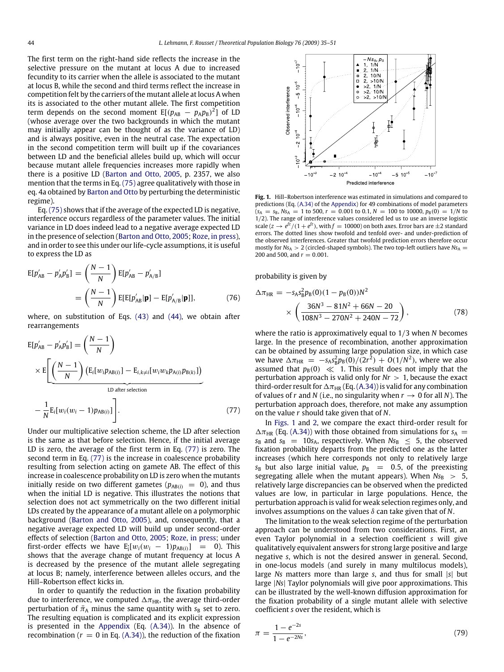The first term on the right-hand side reflects the increase in the selective pressure on the mutant at locus A due to increased fecundity to its carrier when the allele is associated to the mutant at locus B, while the second and third terms reflect the increase in competition felt by the carriers of the mutant allele at locus A when its is associated to the other mutant allele. The first competition term depends on the second moment  $E[(p_{AB} - p_A p_B)^2]$  of LD (whose average over the two backgrounds in which the mutant may initially appear can be thought of as the variance of LD) and is always positive, even in the neutral case. The expectation in the second competition term will built up if the covariances between LD and the beneficial alleles build up, which will occur because mutant allele frequencies increases more rapidly when there is a positive LD (Barton and Otto, 2005, p. 2357, we also mention that the terms in Eq. (75) agree qualitatively with those in eq. 4a obtained by Barton and Otto by perturbing the deterministic regime).

Eq. (75) shows that if the average of the expected LD is negative, interference occurs regardless of the parameter values. The initial variance in LD does indeed lead to a negative average expected LD in the presence of selection (Barton and Otto, 2005; Roze, in press), and in order to see this under our life-cycle assumptions, it is useful to express the LD as

$$
E[p'_{AB} - p'_{A}p'_{B}] = \left(\frac{N-1}{N}\right) E[p'_{AB} - p'_{A/B}]
$$
  
=  $\left(\frac{N-1}{N}\right) E[E[p'_{AB}|\mathbf{p}] - E[p'_{A/B}|\mathbf{p}]],$  (76)

where, on substitution of Eqs. (43) and (44), we obtain after rearrangements

$$
E[p'_{AB} - p'_{A}p'_{B}] = \left(\frac{N-1}{N}\right)
$$
  
 
$$
\times E\left[\underbrace{\left(\frac{N-1}{N}\right)\left(E_{i}[w_{i}p_{AB(i)}] - E_{i,k\neq i}[w_{i}w_{k}p_{A(i)}p_{B(k)}]\right)}_{LD \text{ after selection}}
$$
  
- 
$$
\frac{1}{N}E_{i}[w_{i}(w_{i}-1)p_{AB(i)}]\right].
$$
 (77)

Under our multiplicative selection scheme, the LD after selection is the same as that before selection. Hence, if the initial average LD is zero, the average of the first term in Eq. (77) is zero. The second term in Eq. (77) is the increase in coalescence probability resulting from selection acting on gamete AB. The effect of this increase in coalescence probability on LD is zero when the mutants initially reside on two different gametes ( $p_{AB(i)} = 0$ ), and thus when the initial LD is negative. This illustrates the notions that selection does not act symmetrically on the two different initial LDs created by the appearance of a mutant allele on a polymorphic background (Barton and Otto, 2005), and, consequently, that a negative average expected LD will build up under second-order effects of selection (Barton and Otto, 2005; Roze, in press; under first-order effects we have  $E_i[w_i(w_i - 1)p_{AB(i)}] = 0$ ). This shows that the average change of mutant frequency at locus A is decreased by the presence of the mutant allele segregating at locus B; namely, interference between alleles occurs, and the Hill–Robertson effect kicks in.

In order to quantify the reduction in the fixation probability due to interference, we computed  $\Delta \pi_{HR}$ , the average third-order perturbation of  $\bar{\pi}_A$  minus the same quantity with  $s_B$  set to zero. The resulting equation is complicated and its explicit expression is presented in the Appendix (Eq. (A.34)). In the absence of recombination ( $r = 0$  in Eq. (A.34)), the reduction of the fixation



**Fig. 1.** Hill–Robertson interference was estimated in simulations and compared to predictions (Eq. (A.34) of the Appendix) for 49 combinations of model parameters  $(s_A = s_B, Ns_A = 1$  to 500,  $r = 0.001$  to 0.1,  $N = 100$  to 10000,  $p_B(0) = 1/N$  to 1/2). The range of interference values considered led us to use an inverse logistic scale  $(z \to e^{f\overline{z}}/(1+e^{f\overline{z}})$ , with  $f=10000$ ) on both axes. Error bars are  $\pm 2$  standard errors. The dotted lines show twofold and tenfold over- and under-prediction of the observed interferences. Greater that twofold prediction errors therefore occur mostly for  $Ns_A > 2$  (circled-shaped symbols). The two top-left outliers have  $Ns_A$  = 200 and 500, and  $r = 0.001$ .

probability is given by

$$
\Delta \pi_{HR} = -s_A s_B^2 p_B(0) (1 - p_B(0)) N^2
$$
  
 
$$
\times \left( \frac{36N^3 - 81N^2 + 66N - 20}{108N^3 - 270N^2 + 240N - 72} \right),
$$
 (78)

where the ratio is approximatively equal to 1/3 when *N* becomes large. In the presence of recombination, another approximation can be obtained by assuming large population size, in which case we have  $\Delta \pi_{HR} = -s_A s_B^2 p_B(0)/(2r^2) + O(1/N^2)$ , where we also assumed that  $p_B(0) \ll 1$ . This result does not imply that the perturbation approach is valid only for  $Nr > 1$ , because the exact third-order result for  $\Delta \pi_{HR}$  (Eq. (A.34)) is valid for any combination of values of *r* and *N* (i.e., no singularity when  $r \to 0$  for all *N*). The perturbation approach does, therefore, not make any assumption on the value *r* should take given that of *N*.

In Figs. 1 and 2, we compare the exact third-order result for  $\Delta \pi_{HR}$  (Eq. (A.34)) with those obtained from simulations for  $s_A$  $s_{\text{B}}$  and  $s_{\text{B}}$  = 10 $s_{\text{A}}$ , respectively. When  $Ns_{\text{B}} \leq 5$ , the observed fixation probability departs from the predicted one as the latter increases (which here corresponds not only to relatively large  $s_B$  but also large initial value,  $p_B = 0.5$ , of the preexisting segregating allele when the mutant appears). When  $Ns_B > 5$ , relatively large discrepancies can be observed when the predicted values are low, in particular in large populations. Hence, the perturbation approach is valid for weak selection regimes only, and involves assumptions on the values δ can take given that of *N*.

The limitation to the weak selection regime of the perturbation approach can be understood from two considerations. First, an even Taylor polynomial in a selection coefficient *s* will give qualitatively equivalent answers for strong large positive and large negative *s*, which is not the desired answer in general. Second, in one-locus models (and surely in many multilocus models), large *Ns* matters more than large *s*, and thus for small |*s*| but large |*Ns*| Taylor polynomials will give poor approximations. This can be illustrated by the well-known diffusion approximation for the fixation probability of a single mutant allele with selective coefficient *s* over the resident, which is

$$
\pi = \frac{1 - e^{-2s}}{1 - e^{-2Ns}},\tag{79}
$$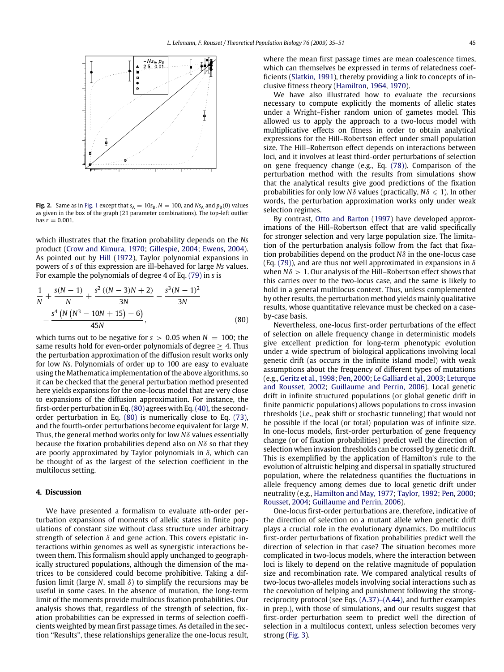**Fig. 2.** Same as in Fig. 1 except that  $s_A = 10s_B$ ,  $N = 100$ , and  $Ns_A$  and  $p_B(0)$  values as given in the box of the graph (21 parameter combinations). The top-left outlier has  $r = 0.001$ .

which illustrates that the fixation probability depends on the *Ns* product (Crow and Kimura, 1970; Gillespie, 2004; Ewens, 2004). As pointed out by Hill (1972), Taylor polynomial expansions in powers of *s* of this expression are ill-behaved for large *Ns* values. For example the polynomials of degree 4 of Eq. (79) in *s* is

$$
\frac{1}{N} + \frac{s(N-1)}{N} + \frac{s^2 ((N-3)N + 2)}{3N} - \frac{s^3 (N-1)^2}{3N} - \frac{s^4 (N (N^3 - 10N + 15) - 6)}{45N},
$$
\n(80)

which turns out to be negative for  $s > 0.05$  when  $N = 100$ ; the same results hold for even-order polynomials of degree  $> 4$ . Thus the perturbation approximation of the diffusion result works only for low *Ns*. Polynomials of order up to 100 are easy to evaluate using the Mathematica implementation of the above algorithms, so it can be checked that the general perturbation method presented here yields expansions for the one-locus model that are very close to expansions of the diffusion approximation. For instance, the first-order perturbation in Eq.(80) agrees with Eq.(40), the secondorder perturbation in Eq. (80) is numerically close to Eq. (73), and the fourth-order perturbations become equivalent for large *N*. Thus, the general method works only for low *N*δ values essentially because the fixation probabilities depend also on *N*δ so that they are poorly approximated by Taylor polynomials in  $\delta$ , which can be thought of as the largest of the selection coefficient in the multilocus setting.

## **4. Discussion**

We have presented a formalism to evaluate *n*th-order perturbation expansions of moments of allelic states in finite populations of constant size without class structure under arbitrary strength of selection  $\delta$  and gene action. This covers epistatic interactions within genomes as well as synergistic interactions between them. This formalism should apply unchanged to geographically structured populations, although the dimension of the matrices to be considered could become prohibitive. Taking a diffusion limit (large  $N$ , small  $\delta$ ) to simplify the recursions may be useful in some cases. In the absence of mutation, the long-term limit of the moments provide multilocus fixation probabilities. Our analysis shows that, regardless of the strength of selection, fixation probabilities can be expressed in terms of selection coefficients weighted by mean first passage times. As detailed in the section ''Results'', these relationships generalize the one-locus result, where the mean first passage times are mean coalescence times, which can themselves be expressed in terms of relatedness coefficients (Slatkin, 1991), thereby providing a link to concepts of inclusive fitness theory (Hamilton, 1964, 1970).

We have also illustrated how to evaluate the recursions necessary to compute explicitly the moments of allelic states under a Wright–Fisher random union of gametes model. This allowed us to apply the approach to a two-locus model with multiplicative effects on fitness in order to obtain analytical expressions for the Hill–Robertson effect under small population size. The Hill–Robertson effect depends on interactions between loci, and it involves at least third-order perturbations of selection on gene frequency change (e.g., Eq. (78)). Comparison of the perturbation method with the results from simulations show that the analytical results give good predictions of the fixation probabilities for only low *N* $\delta$  values (practically,  $N\delta \leq 1$ ). In other words, the perturbation approximation works only under weak selection regimes.

By contrast, Otto and Barton (1997) have developed approximations of the Hill–Robertson effect that are valid specifically for stronger selection and very large population size. The limitation of the perturbation analysis follow from the fact that fixation probabilities depend on the product *N*δ in the one-locus case (Eq. (79)), and are thus not well approximated in expansions in  $\delta$ when *N*δ > 1. Our analysis of the Hill–Robertson effect shows that this carries over to the two-locus case, and the same is likely to hold in a general multilocus context. Thus, unless complemented by other results, the perturbation method yields mainly qualitative results, whose quantitative relevance must be checked on a caseby-case basis.

Nevertheless, one-locus first-order perturbations of the effect of selection on allele frequency change in deterministic models give excellent prediction for long-term phenotypic evolution under a wide spectrum of biological applications involving local genetic drift (as occurs in the infinite island model) with weak assumptions about the frequency of different types of mutations (e.g., Geritz et al., 1998; Pen, 2000; Le Galliard et al., 2003; Leturque and Rousset, 2002; Guillaume and Perrin, 2006). Local genetic drift in infinite structured populations (or global genetic drift in finite panmictic populations) allows populations to cross invasion thresholds (i.e., peak shift or stochastic tunneling) that would not be possible if the local (or total) population was of infinite size. In one-locus models, first-order perturbation of gene frequency change (or of fixation probabilities) predict well the direction of selection when invasion thresholds can be crossed by genetic drift. This is exemplified by the application of Hamilton's rule to the evolution of altruistic helping and dispersal in spatially structured population, where the relatedness quantifies the fluctuations in allele frequency among demes due to local genetic drift under neutrality (e.g., Hamilton and May, 1977; Taylor, 1992; Pen, 2000; Rousset, 2004; Guillaume and Perrin, 2006).

One-locus first-order perturbations are, therefore, indicative of the direction of selection on a mutant allele when genetic drift plays a crucial role in the evolutionary dynamics. Do multilocus first-order perturbations of fixation probabilities predict well the direction of selection in that case? The situation becomes more complicated in two-locus models, where the interaction between loci is likely to depend on the relative magnitude of population size and recombination rate. We compared analytical results of two-locus two-alleles models involving social interactions such as the coevolution of helping and punishment following the strongreciprocity protocol (see Eqs. (A.37)–(A.44), and further examples in prep.), with those of simulations, and our results suggest that first-order perturbation seem to predict well the direction of selection in a multilocus context, unless selection becomes very strong (Fig. 3).